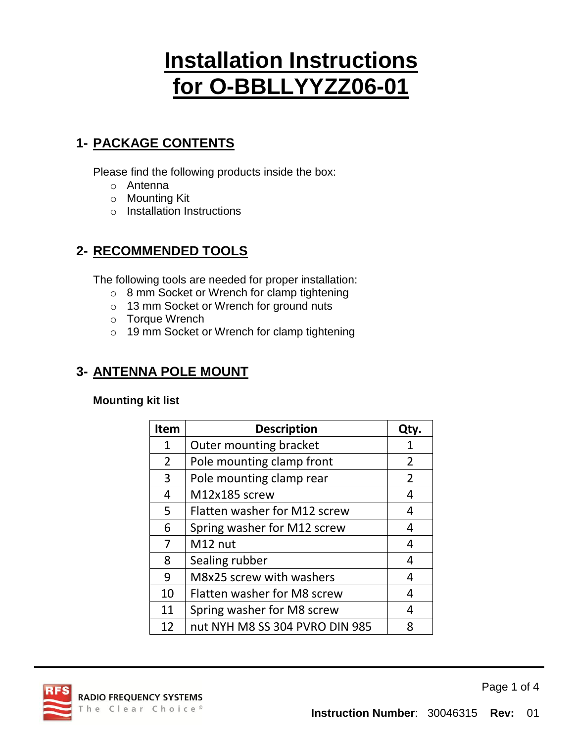# **Installation Instructions for O-BBLLYYZZ06-01**

### **1- PACKAGE CONTENTS**

Please find the following products inside the box:

- o Antenna
- o Mounting Kit
- o Installation Instructions

### **2- RECOMMENDED TOOLS**

The following tools are needed for proper installation:

- o 8 mm Socket or Wrench for clamp tightening
- o 13 mm Socket or Wrench for ground nuts
- o Torque Wrench
- o 19 mm Socket or Wrench for clamp tightening

### **3- ANTENNA POLE MOUNT**

#### **Mounting kit list**

| <b>Item</b>    | <b>Description</b>                 | Qty.           |  |
|----------------|------------------------------------|----------------|--|
| 1              | <b>Outer mounting bracket</b>      |                |  |
| $\overline{2}$ | Pole mounting clamp front          | $\overline{2}$ |  |
| 3              | Pole mounting clamp rear           | $\overline{2}$ |  |
| 4              | M12x185 screw                      | 4              |  |
| 5              | Flatten washer for M12 screw       | 4              |  |
| 6              | Spring washer for M12 screw        | 4              |  |
| 7              | M12 nut                            | 4              |  |
| 8              | Sealing rubber                     | 4              |  |
| 9              | M8x25 screw with washers           | 4              |  |
| 10             | <b>Flatten washer for M8 screw</b> |                |  |
| 11             | Spring washer for M8 screw         |                |  |
| 12             | nut NYH M8 SS 304 PVRO DIN 985     |                |  |



Page 1 of 4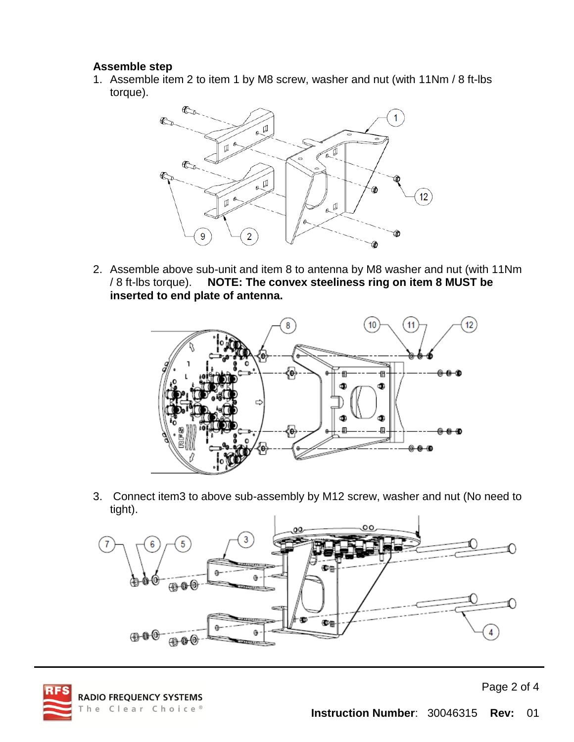#### **Assemble step**

1. Assemble item 2 to item 1 by M8 screw, washer and nut (with 11Nm / 8 ft-lbs torque).



2. Assemble above sub-unit and item 8 to antenna by M8 washer and nut (with 11Nm / 8 ft-lbs torque). **NOTE: The convex steeliness ring on item 8 MUST be inserted to end plate of antenna.**



3. Connect item3 to above sub-assembly by M12 screw, washer and nut (No need to tight).



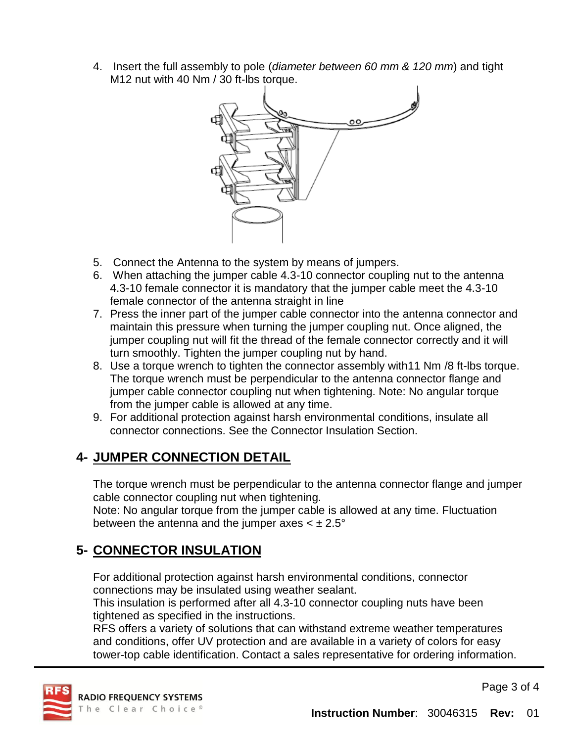4. Insert the full assembly to pole (*diameter between 60 mm & 120 mm*) and tight M12 nut with 40 Nm / 30 ft-lbs torque.



- 5. Connect the Antenna to the system by means of jumpers.
- 6. When attaching the jumper cable 4.3-10 connector coupling nut to the antenna 4.3-10 female connector it is mandatory that the jumper cable meet the 4.3-10 female connector of the antenna straight in line
- 7. Press the inner part of the jumper cable connector into the antenna connector and maintain this pressure when turning the jumper coupling nut. Once aligned, the jumper coupling nut will fit the thread of the female connector correctly and it will turn smoothly. Tighten the jumper coupling nut by hand.
- 8. Use a torque wrench to tighten the connector assembly with11 Nm /8 ft-lbs torque. The torque wrench must be perpendicular to the antenna connector flange and jumper cable connector coupling nut when tightening. Note: No angular torque from the jumper cable is allowed at any time.
- 9. For additional protection against harsh environmental conditions, insulate all connector connections. See the Connector Insulation Section.

### **4- JUMPER CONNECTION DETAIL**

The torque wrench must be perpendicular to the antenna connector flange and jumper cable connector coupling nut when tightening.

Note: No angular torque from the jumper cable is allowed at any time. Fluctuation between the antenna and the jumper axes  $\lt \pm 2.5^\circ$ 

### **5- CONNECTOR INSULATION**

For additional protection against harsh environmental conditions, connector connections may be insulated using weather sealant.

This insulation is performed after all 4.3-10 connector coupling nuts have been tightened as specified in the instructions.

RFS offers a variety of solutions that can withstand extreme weather temperatures and conditions, offer UV protection and are available in a variety of colors for easy tower-top cable identification. Contact a sales representative for ordering information.